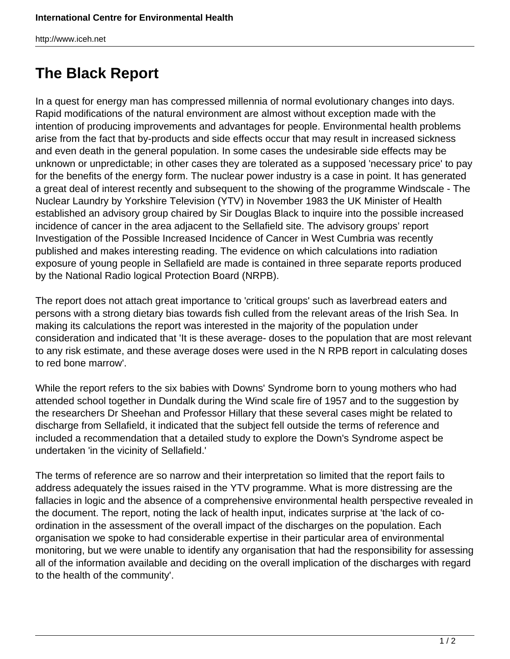http://www.iceh.net

## **The Black Report**

In a quest for energy man has compressed millennia of normal evolutionary changes into days. Rapid modifications of the natural environment are almost without exception made with the intention of producing improvements and advantages for people. Environmental health problems arise from the fact that by-products and side effects occur that may result in increased sickness and even death in the general population. In some cases the undesirable side effects may be unknown or unpredictable; in other cases they are tolerated as a supposed 'necessary price' to pay for the benefits of the energy form. The nuclear power industry is a case in point. It has generated a great deal of interest recently and subsequent to the showing of the programme Windscale - The Nuclear Laundry by Yorkshire Television (YTV) in November 1983 the UK Minister of Health established an advisory group chaired by Sir Douglas Black to inquire into the possible increased incidence of cancer in the area adjacent to the Sellafield site. The advisory groups' report Investigation of the Possible Increased Incidence of Cancer in West Cumbria was recently published and makes interesting reading. The evidence on which calculations into radiation exposure of young people in Sellafield are made is contained in three separate reports produced by the National Radio logical Protection Board (NRPB).

The report does not attach great importance to 'critical groups' such as laverbread eaters and persons with a strong dietary bias towards fish culled from the relevant areas of the Irish Sea. In making its calculations the report was interested in the majority of the population under consideration and indicated that 'It is these average- doses to the population that are most relevant to any risk estimate, and these average doses were used in the N RPB report in calculating doses to red bone marrow'.

While the report refers to the six babies with Downs' Syndrome born to young mothers who had attended school together in Dundalk during the Wind scale fire of 1957 and to the suggestion by the researchers Dr Sheehan and Professor Hillary that these several cases might be related to discharge from Sellafield, it indicated that the subject fell outside the terms of reference and included a recommendation that a detailed study to explore the Down's Syndrome aspect be undertaken 'in the vicinity of Sellafield.'

The terms of reference are so narrow and their interpretation so limited that the report fails to address adequately the issues raised in the YTV programme. What is more distressing are the fallacies in logic and the absence of a comprehensive environmental health perspective revealed in the document. The report, noting the lack of health input, indicates surprise at 'the lack of coordination in the assessment of the overall impact of the discharges on the population. Each organisation we spoke to had considerable expertise in their particular area of environmental monitoring, but we were unable to identify any organisation that had the responsibility for assessing all of the information available and deciding on the overall implication of the discharges with regard to the health of the community'.